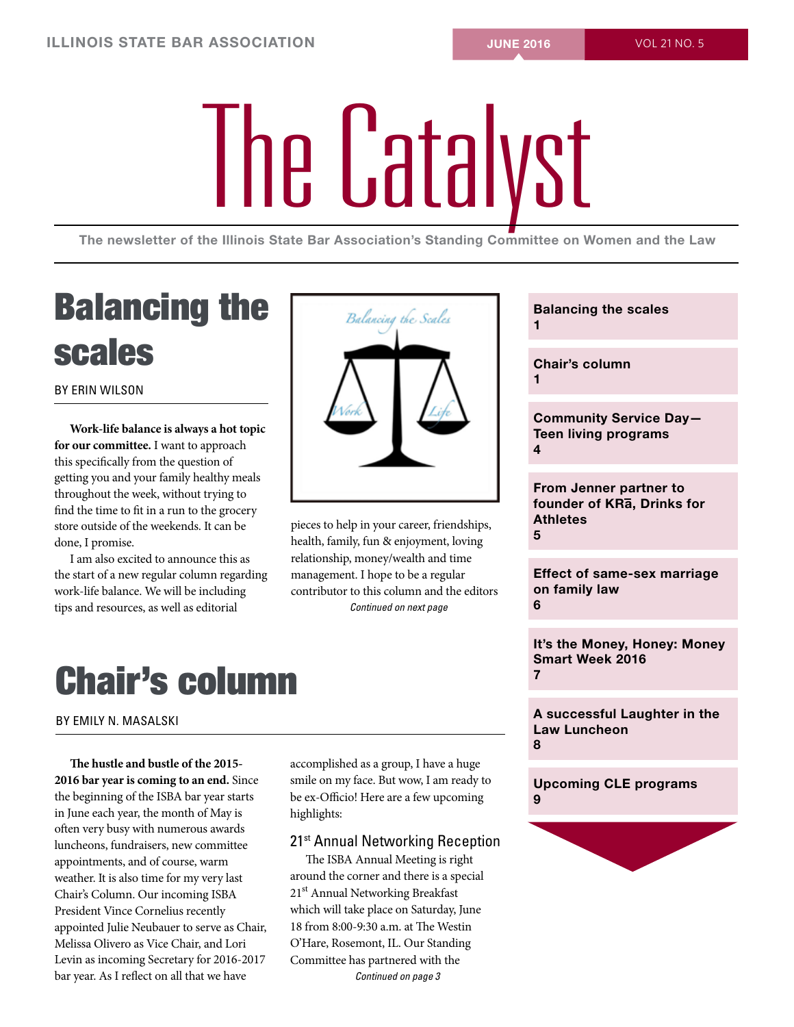# The Catalyst

The newsletter of the Illinois State Bar Association's Standing Committee on Women and the Law

# Balancing the scales

By Erin Wilson

**Work-life balance is always a hot topic for our committee.** I want to approach this specifically from the question of getting you and your family healthy meals throughout the week, without trying to find the time to fit in a run to the grocery store outside of the weekends. It can be done, I promise.

I am also excited to announce this as the start of a new regular column regarding work-life balance. We will be including tips and resources, as well as editorial



pieces to help in your career, friendships, health, family, fun & enjoyment, loving relationship, money/wealth and time management. I hope to be a regular contributor to this column and the editors *Continued on next page*

# Chair's column

By Emily N. Masalski

**The hustle and bustle of the 2015- 2016 bar year is coming to an end.** Since the beginning of the ISBA bar year starts in June each year, the month of May is often very busy with numerous awards luncheons, fundraisers, new committee appointments, and of course, warm weather. It is also time for my very last Chair's Column. Our incoming ISBA President Vince Cornelius recently appointed Julie Neubauer to serve as Chair, Melissa Olivero as Vice Chair, and Lori Levin as incoming Secretary for 2016-2017 bar year. As I reflect on all that we have

accomplished as a group, I have a huge smile on my face. But wow, I am ready to be ex-Officio! Here are a few upcoming highlights:

## 21<sup>st</sup> Annual Networking Reception

The ISBA Annual Meeting is right around the corner and there is a special 21<sup>st</sup> Annual Networking Breakfast which will take place on Saturday, June 18 from 8:00-9:30 a.m. at The Westin O'Hare, Rosemont, IL. Our Standing Committee has partnered with the *Continued on page 3*

Balancing the scales 1 Chair's column 1 Community Service Day— Teen living programs 4 From Jenner partner to founder of KRa, Drinks for Athletes 5 Effect of same-sex marriage on family law 6 It's the Money, Honey: Money Smart Week 2016 7 A successful Laughter in the Law Luncheon 8 Upcoming CLE programs 9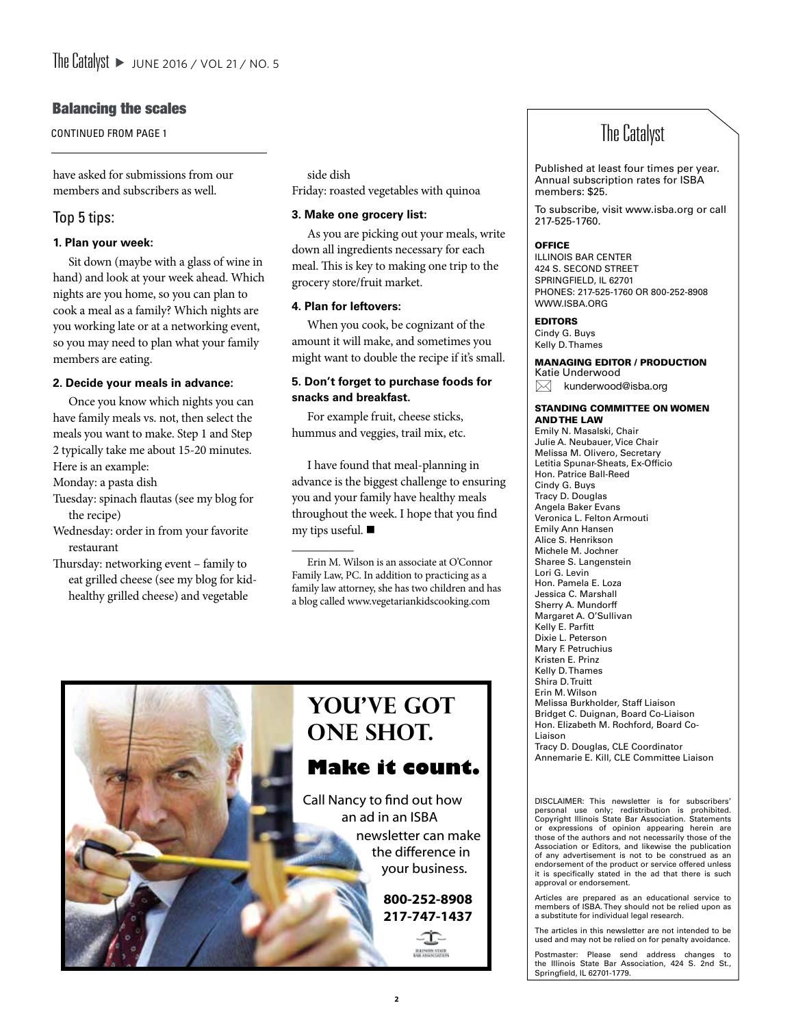## Balancing the scales

CONTINUED FROM PAGE 1

have asked for submissions from our members and subscribers as well.

## Top 5 tips:

## **1. Plan your week:**

Sit down (maybe with a glass of wine in hand) and look at your week ahead. Which nights are you home, so you can plan to cook a meal as a family? Which nights are you working late or at a networking event, so you may need to plan what your family members are eating.

## **2. Decide your meals in advance:**

Once you know which nights you can have family meals vs. not, then select the meals you want to make. Step 1 and Step 2 typically take me about 15-20 minutes. Here is an example:

Monday: a pasta dish

- Tuesday: spinach flautas (see my blog for the recipe)
- Wednesday: order in from your favorite restaurant
- Thursday: networking event family to eat grilled cheese (see my blog for kidhealthy grilled cheese) and vegetable

side dish Friday: roasted vegetables with quinoa

## **3. Make one grocery list:**

As you are picking out your meals, write down all ingredients necessary for each meal. This is key to making one trip to the grocery store/fruit market.

## **4. Plan for leftovers:**

 $\overline{\phantom{a}}$ 

When you cook, be cognizant of the amount it will make, and sometimes you might want to double the recipe if it's small.

## **5. Don't forget to purchase foods for snacks and breakfast.**

For example fruit, cheese sticks, hummus and veggies, trail mix, etc.

I have found that meal-planning in advance is the biggest challenge to ensuring you and your family have healthy meals throughout the week. I hope that you find my tips useful.  $\blacksquare$ 

Erin M. Wilson is an associate at O'Connor Family Law, PC. In addition to practicing as a family law attorney, she has two children and has a blog called www.vegetariankidscooking.com



## The Catalyst

Published at least four times per year. Annual subscription rates for ISBA members: \$25.

To subscribe, visit www.isba.org or call 217-525-1760.

## **OFFICE**

Illinois bar center 424 S. Second Street SPRINGFIELD, IL 62701 PHones: 217-525-1760 OR 800-252-8908 www.isba.org

#### EDITORS

Cindy G. Buys Kelly D. Thames

#### MANAGING EDITOR / PRODUCTION Katie Underwood

 $\boxtimes$  kunderwood@isba.org

#### STANDING COMMITTEE ON WOMEN AND THE LAW

Emily N. Masalski, Chair Julie A. Neubauer, Vice Chair Melissa M. Olivero, Secretary Letitia Spunar-Sheats, Ex-Officio Hon. Patrice Ball-Reed Cindy G. Buys Tracy D. Douglas Angela Baker Evans Veronica L. Felton Armouti Emily Ann Hansen Alice S. Henrikson Michele M. Jochner Sharee S. Langenstein Lori G. Levin Hon. Pamela E. Loza Jessica C. Marshall Sherry A. Mundorff Margaret A. O'Sullivan Kelly E. Parfitt Dixie L. Peterson Mary F. Petruchius Kristen E. Prinz Kelly D. Thames Shira D. Truitt Erin M. Wilson Melissa Burkholder, Staff Liaison Bridget C. Duignan, Board Co-Liaison Hon. Elizabeth M. Rochford, Board Co-Liaison Tracy D. Douglas, CLE Coordinator Annemarie E. Kill, CLE Committee Liaison

Disclaimer: This newsletter is for subscribers' personal use only; redistribution is prohibited. Copyright Illinois State Bar Association. Statements or expressions of opinion appearing herein are those of the authors and not necessarily those of the Association or Editors, and likewise the publication of any advertisement is not to be construed as an endorsement of the product or service offered unless it is specifically stated in the ad that there is such approval or endorsement.

Articles are prepared as an educational service to members of ISBA. They should not be relied upon as a substitute for individual legal research.

The articles in this newsletter are not intended to be used and may not be relied on for penalty avoidance.

Postmaster: Please send address changes to the Illinois State Bar Association, 424 S. 2nd St., Springfield, IL 62701-1779.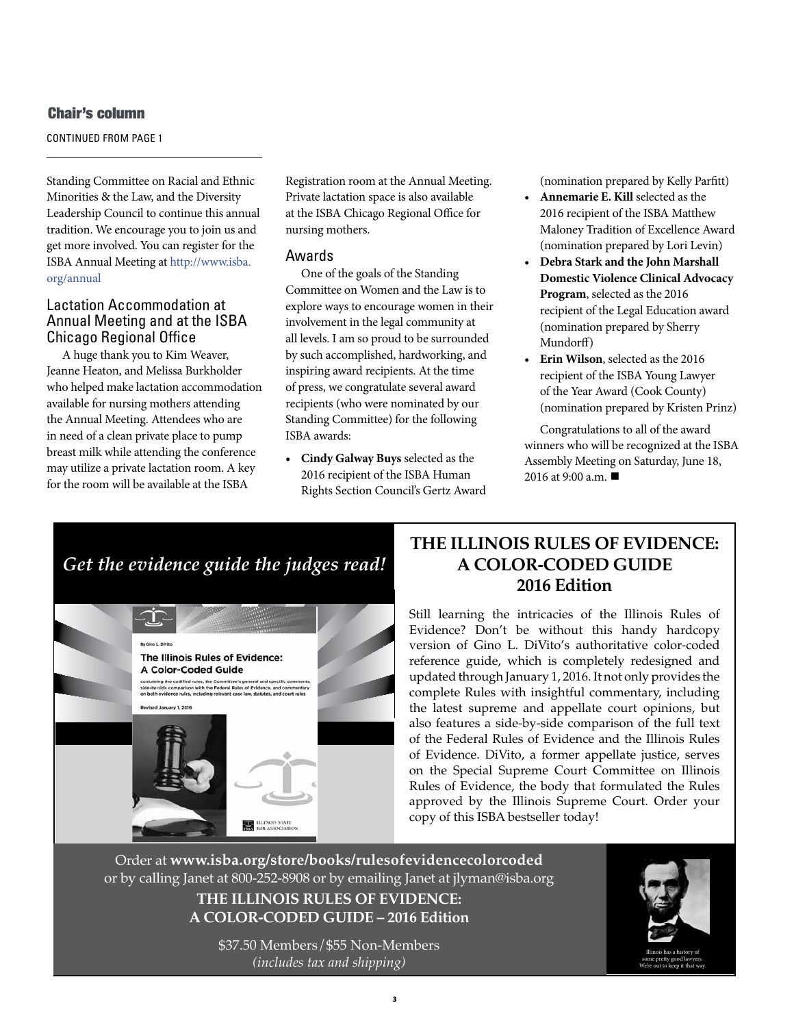## Chair's column

CONTINUED FROM PAGE 1

Standing Committee on Racial and Ethnic Minorities & the Law, and the Diversity Leadership Council to continue this annual tradition. We encourage you to join us and get more involved. You can register for the ISBA Annual Meeting at http://www.isba. org/annual

## Lactation Accommodation at Annual Meeting and at the ISBA Chicago Regional Office

A huge thank you to Kim Weaver, Jeanne Heaton, and Melissa Burkholder who helped make lactation accommodation available for nursing mothers attending the Annual Meeting. Attendees who are in need of a clean private place to pump breast milk while attending the conference may utilize a private lactation room. A key for the room will be available at the ISBA

Registration room at the Annual Meeting. Private lactation space is also available at the ISBA Chicago Regional Office for nursing mothers.

## Awards

One of the goals of the Standing Committee on Women and the Law is to explore ways to encourage women in their involvement in the legal community at all levels. I am so proud to be surrounded by such accomplished, hardworking, and inspiring award recipients. At the time of press, we congratulate several award recipients (who were nominated by our Standing Committee) for the following ISBA awards:

**• Cindy Galway Buys** selected as the 2016 recipient of the ISBA Human Rights Section Council's Gertz Award (nomination prepared by Kelly Parfitt)

- **• Annemarie E. Kill** selected as the 2016 recipient of the ISBA Matthew Maloney Tradition of Excellence Award (nomination prepared by Lori Levin)
- **• Debra Stark and the John Marshall Domestic Violence Clinical Advocacy Program**, selected as the 2016 recipient of the Legal Education award (nomination prepared by Sherry Mundorff)
- **• Erin Wilson**, selected as the 2016 recipient of the ISBA Young Lawyer of the Year Award (Cook County) (nomination prepared by Kristen Prinz)

Congratulations to all of the award winners who will be recognized at the ISBA Assembly Meeting on Saturday, June 18, 2016 at 9:00 a.m. ■

## *Get the evidence guide the judges read!*



## **THE ILLINOIS RULES OF EVIDENCE: A COLOR-CODED GUIDE 2016 Edition**

Still learning the intricacies of the Illinois Rules of Evidence? Don't be without this handy hardcopy version of Gino L. DiVito's authoritative color-coded reference guide, which is completely redesigned and updated through January 1, 2016. It not only provides the complete Rules with insightful commentary, including the latest supreme and appellate court opinions, but also features a side-by-side comparison of the full text of the Federal Rules of Evidence and the Illinois Rules of Evidence. DiVito, a former appellate justice, serves on the Special Supreme Court Committee on Illinois Rules of Evidence, the body that formulated the Rules approved by the Illinois Supreme Court. Order your copy of this ISBA bestseller today!

Order at **www.isba.org/store/books/rulesofevidencecolorcoded** or by calling Janet at 800-252-8908 or by emailing Janet at jlyman@isba.org

> **THE ILLINOIS RULES OF EVIDENCE: A COLOR-CODED GUIDE – 2016 Edition**

\$37.50 Members/\$55 Non-Members *(includes tax and shipping)*

**3** 



Illinois has a history of some pretty good lawyers. We're out to keep it that way.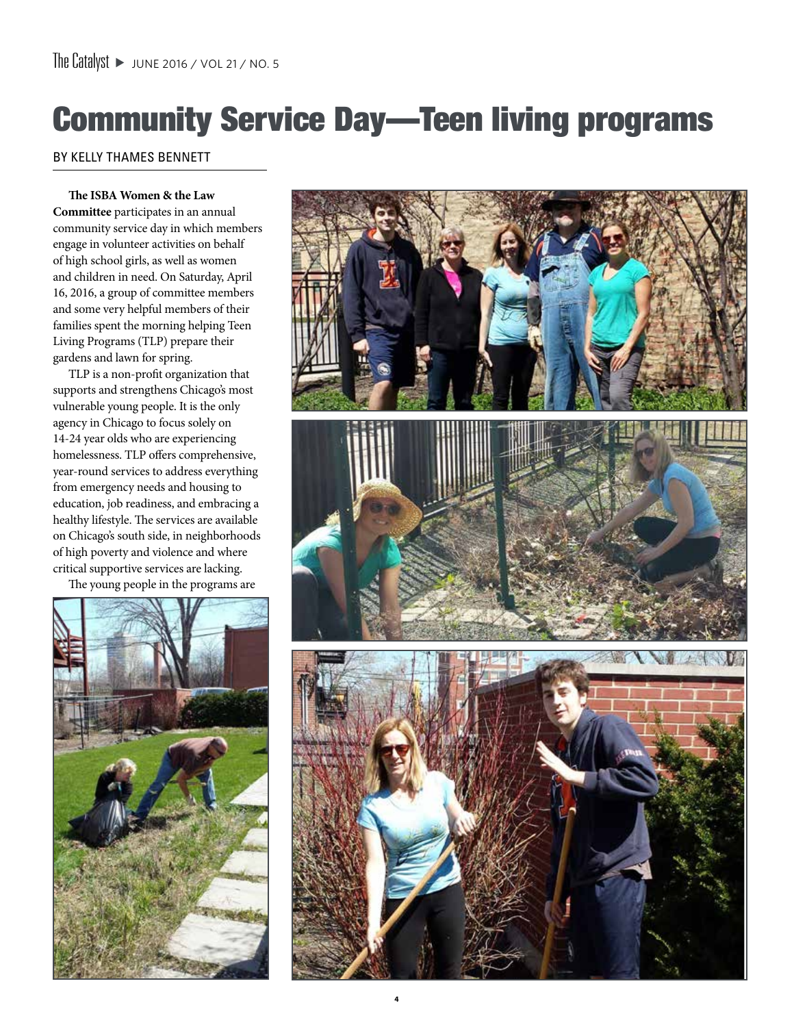# Community Service Day—Teen living programs

## By Kelly Thames Bennett

**The ISBA Women & the Law Committee** participates in an annual community service day in which members engage in volunteer activities on behalf of high school girls, as well as women and children in need. On Saturday, April 16, 2016, a group of committee members and some very helpful members of their families spent the morning helping Teen Living Programs (TLP) prepare their gardens and lawn for spring.

TLP is a non-profit organization that supports and strengthens Chicago's most vulnerable young people. It is the only agency in Chicago to focus solely on 14-24 year olds who are experiencing homelessness. TLP offers comprehensive, year-round services to address everything from emergency needs and housing to education, job readiness, and embracing a healthy lifestyle. The services are available on Chicago's south side, in neighborhoods of high poverty and violence and where critical supportive services are lacking.

The young people in the programs are



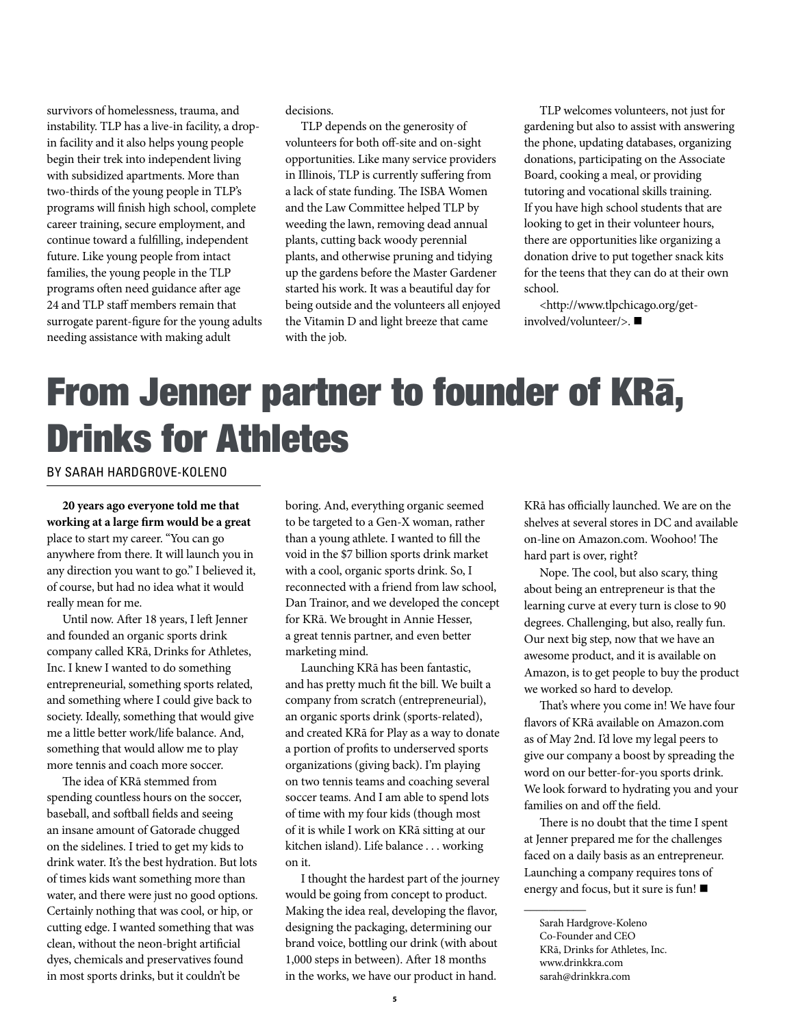survivors of homelessness, trauma, and instability. TLP has a live-in facility, a dropin facility and it also helps young people begin their trek into independent living with subsidized apartments. More than two-thirds of the young people in TLP's programs will finish high school, complete career training, secure employment, and continue toward a fulfilling, independent future. Like young people from intact families, the young people in the TLP programs often need guidance after age 24 and TLP staff members remain that surrogate parent-figure for the young adults needing assistance with making adult

decisions.

TLP depends on the generosity of volunteers for both off-site and on-sight opportunities. Like many service providers in Illinois, TLP is currently suffering from a lack of state funding. The ISBA Women and the Law Committee helped TLP by weeding the lawn, removing dead annual plants, cutting back woody perennial plants, and otherwise pruning and tidying up the gardens before the Master Gardener started his work. It was a beautiful day for being outside and the volunteers all enjoyed the Vitamin D and light breeze that came with the job.

TLP welcomes volunteers, not just for gardening but also to assist with answering the phone, updating databases, organizing donations, participating on the Associate Board, cooking a meal, or providing tutoring and vocational skills training. If you have high school students that are looking to get in their volunteer hours, there are opportunities like organizing a donation drive to put together snack kits for the teens that they can do at their own school.

<http://www.tlpchicago.org/getinvolved/volunteer/>.

# From Jenner partner to founder of KRa, Drinks for Athletes

By Sarah Hardgrove-Koleno

**20 years ago everyone told me that working at a large firm would be a great**  place to start my career. "You can go anywhere from there. It will launch you in any direction you want to go." I believed it, of course, but had no idea what it would really mean for me.

Until now. After 18 years, I left Jenner and founded an organic sports drink company called KRā, Drinks for Athletes, Inc. I knew I wanted to do something entrepreneurial, something sports related, and something where I could give back to society. Ideally, something that would give me a little better work/life balance. And, something that would allow me to play more tennis and coach more soccer.

The idea of KRā stemmed from spending countless hours on the soccer, baseball, and softball fields and seeing an insane amount of Gatorade chugged on the sidelines. I tried to get my kids to drink water. It's the best hydration. But lots of times kids want something more than water, and there were just no good options. Certainly nothing that was cool, or hip, or cutting edge. I wanted something that was clean, without the neon-bright artificial dyes, chemicals and preservatives found in most sports drinks, but it couldn't be

boring. And, everything organic seemed to be targeted to a Gen-X woman, rather than a young athlete. I wanted to fill the void in the \$7 billion sports drink market with a cool, organic sports drink. So, I reconnected with a friend from law school, Dan Trainor, and we developed the concept for KRā. We brought in Annie Hesser, a great tennis partner, and even better marketing mind.

Launching KRā has been fantastic, and has pretty much fit the bill. We built a company from scratch (entrepreneurial), an organic sports drink (sports-related), and created KRā for Play as a way to donate a portion of profits to underserved sports organizations (giving back). I'm playing on two tennis teams and coaching several soccer teams. And I am able to spend lots of time with my four kids (though most of it is while I work on KRā sitting at our kitchen island). Life balance . . . working on it.

I thought the hardest part of the journey would be going from concept to product. Making the idea real, developing the flavor, designing the packaging, determining our brand voice, bottling our drink (with about 1,000 steps in between). After 18 months in the works, we have our product in hand.

KRā has officially launched. We are on the shelves at several stores in DC and available on-line on Amazon.com. Woohoo! The hard part is over, right?

Nope. The cool, but also scary, thing about being an entrepreneur is that the learning curve at every turn is close to 90 degrees. Challenging, but also, really fun. Our next big step, now that we have an awesome product, and it is available on Amazon, is to get people to buy the product we worked so hard to develop.

That's where you come in! We have four flavors of KRā available on Amazon.com as of May 2nd. I'd love my legal peers to give our company a boost by spreading the word on our better-for-you sports drink. We look forward to hydrating you and your families on and off the field.

There is no doubt that the time I spent at Jenner prepared me for the challenges faced on a daily basis as an entrepreneur. Launching a company requires tons of energy and focus, but it sure is fun!

 $\overline{\phantom{a}}$ 

Sarah Hardgrove-Koleno Co-Founder and CEO KRā, Drinks for Athletes, Inc. www.drinkkra.com sarah@drinkkra.com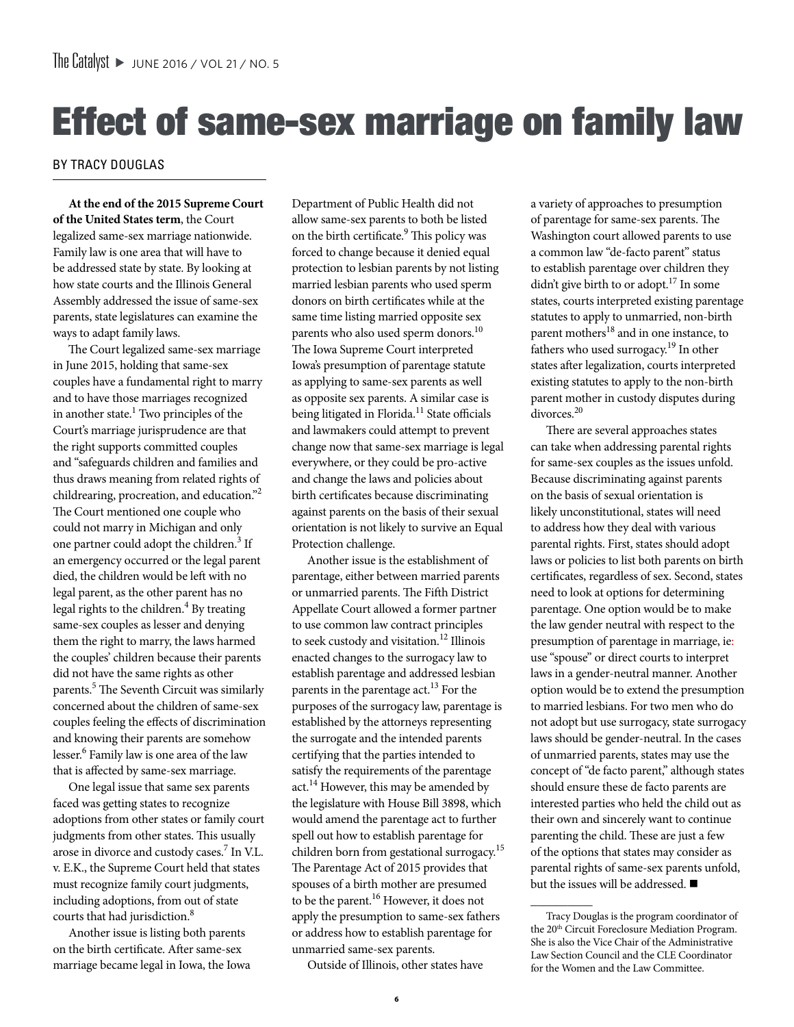# Effect of same-sex marriage on family law

## By Tracy Douglas

**At the end of the 2015 Supreme Court of the United States term**, the Court legalized same-sex marriage nationwide. Family law is one area that will have to be addressed state by state. By looking at how state courts and the Illinois General Assembly addressed the issue of same-sex parents, state legislatures can examine the ways to adapt family laws.

The Court legalized same-sex marriage in June 2015, holding that same-sex couples have a fundamental right to marry and to have those marriages recognized in another state.<sup>1</sup> Two principles of the Court's marriage jurisprudence are that the right supports committed couples and "safeguards children and families and thus draws meaning from related rights of childrearing, procreation, and education."2 The Court mentioned one couple who could not marry in Michigan and only one partner could adopt the children.<sup>3</sup> If an emergency occurred or the legal parent died, the children would be left with no legal parent, as the other parent has no legal rights to the children.<sup>4</sup> By treating same-sex couples as lesser and denying them the right to marry, the laws harmed the couples' children because their parents did not have the same rights as other parents.<sup>5</sup> The Seventh Circuit was similarly concerned about the children of same-sex couples feeling the effects of discrimination and knowing their parents are somehow lesser.<sup>6</sup> Family law is one area of the law that is affected by same-sex marriage.

One legal issue that same sex parents faced was getting states to recognize adoptions from other states or family court judgments from other states. This usually arose in divorce and custody cases.<sup>7</sup> In V.L. v. E.K., the Supreme Court held that states must recognize family court judgments, including adoptions, from out of state courts that had jurisdiction.<sup>8</sup>

Another issue is listing both parents on the birth certificate. After same-sex marriage became legal in Iowa, the Iowa

Department of Public Health did not allow same-sex parents to both be listed on the birth certificate.<sup>9</sup> This policy was forced to change because it denied equal protection to lesbian parents by not listing married lesbian parents who used sperm donors on birth certificates while at the same time listing married opposite sex parents who also used sperm donors.<sup>10</sup> The Iowa Supreme Court interpreted Iowa's presumption of parentage statute as applying to same-sex parents as well as opposite sex parents. A similar case is being litigated in Florida.<sup>11</sup> State officials and lawmakers could attempt to prevent change now that same-sex marriage is legal everywhere, or they could be pro-active and change the laws and policies about birth certificates because discriminating against parents on the basis of their sexual orientation is not likely to survive an Equal Protection challenge.

Another issue is the establishment of parentage, either between married parents or unmarried parents. The Fifth District Appellate Court allowed a former partner to use common law contract principles to seek custody and visitation.<sup>12</sup> Illinois enacted changes to the surrogacy law to establish parentage and addressed lesbian parents in the parentage  $act.<sup>13</sup>$  For the purposes of the surrogacy law, parentage is established by the attorneys representing the surrogate and the intended parents certifying that the parties intended to satisfy the requirements of the parentage act. $14$  However, this may be amended by the legislature with House Bill 3898, which would amend the parentage act to further spell out how to establish parentage for children born from gestational surrogacy.15 The Parentage Act of 2015 provides that spouses of a birth mother are presumed to be the parent.16 However, it does not apply the presumption to same-sex fathers or address how to establish parentage for unmarried same-sex parents.

Outside of Illinois, other states have

a variety of approaches to presumption of parentage for same-sex parents. The Washington court allowed parents to use a common law "de-facto parent" status to establish parentage over children they didn't give birth to or adopt.<sup>17</sup> In some states, courts interpreted existing parentage statutes to apply to unmarried, non-birth parent mothers<sup>18</sup> and in one instance, to fathers who used surrogacy.<sup>19</sup> In other states after legalization, courts interpreted existing statutes to apply to the non-birth parent mother in custody disputes during divorces.<sup>20</sup>

There are several approaches states can take when addressing parental rights for same-sex couples as the issues unfold. Because discriminating against parents on the basis of sexual orientation is likely unconstitutional, states will need to address how they deal with various parental rights. First, states should adopt laws or policies to list both parents on birth certificates, regardless of sex. Second, states need to look at options for determining parentage. One option would be to make the law gender neutral with respect to the presumption of parentage in marriage, ie: use "spouse" or direct courts to interpret laws in a gender-neutral manner. Another option would be to extend the presumption to married lesbians. For two men who do not adopt but use surrogacy, state surrogacy laws should be gender-neutral. In the cases of unmarried parents, states may use the concept of "de facto parent," although states should ensure these de facto parents are interested parties who held the child out as their own and sincerely want to continue parenting the child. These are just a few of the options that states may consider as parental rights of same-sex parents unfold, but the issues will be addressed.  $\blacksquare$ 

 $\overline{\phantom{a}}$ 

Tracy Douglas is the program coordinator of the 20<sup>th</sup> Circuit Foreclosure Mediation Program. She is also the Vice Chair of the Administrative Law Section Council and the CLE Coordinator for the Women and the Law Committee.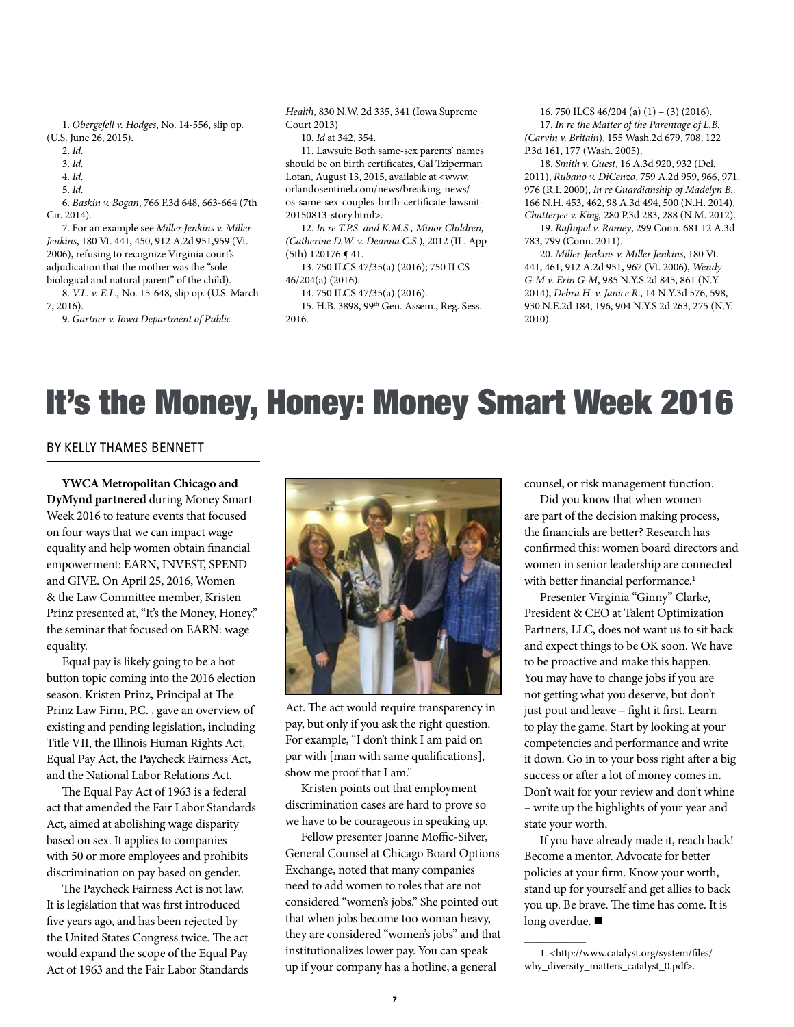1. *Obergefell v. Hodges*, No. 14-556, slip op. (U.S. June 26, 2015).

3. *Id.*

4. *Id.*

5. *Id.*

6. *Baskin v. Bogan*, 766 F.3d 648, 663-664 (7th Cir. 2014).

7. For an example see *Miller Jenkins v. Miller-Jenkins*, 180 Vt. 441, 450, 912 A.2d 951,959 (Vt. 2006), refusing to recognize Virginia court's adjudication that the mother was the "sole biological and natural parent" of the child).

8. *V.L. v. E.L.,* No. 15-648, slip op. (U.S. March 7, 2016).

9. *Gartner v. Iowa Department of Public* 

*Health,* 830 N.W. 2d 335, 341 (Iowa Supreme Court 2013)

10. *Id* at 342, 354.

11. Lawsuit: Both same-sex parents' names should be on birth certificates, Gal Tziperman Lotan, August 13, 2015, available at <www. orlandosentinel.com/news/breaking-news/ os-same-sex-couples-birth-certificate-lawsuit-20150813-story.html>.

12. *In re T.P.S. and K.M.S., Minor Children, (Catherine D.W. v. Deanna C.S*.), 2012 (IL. App (5th) 120176 ¶ 41.

13. 750 ILCS 47/35(a) (2016); 750 ILCS 46/204(a) (2016).

14. 750 ILCS 47/35(a) (2016).

15. H.B. 3898, 99th Gen. Assem., Reg. Sess. 2016.

16. 750 ILCS 46/204 (a) (1) – (3) (2016). 17. *In re the Matter of the Parentage of L.B. (Carvin v. Britain*), 155 Wash.2d 679, 708, 122 P.3d 161, 177 (Wash. 2005),

18. *Smith v. Guest*, 16 A.3d 920, 932 (Del. 2011), *Rubano v. DiCenzo*, 759 A.2d 959, 966, 971, 976 (R.I. 2000), *In re Guardianship of Madelyn B.,*  166 N.H. 453, 462, 98 A.3d 494, 500 (N.H. 2014), *Chatterjee v. King,* 280 P.3d 283, 288 (N.M. 2012).

19. *Raftopol v. Ramey*, 299 Conn. 681 12 A.3d 783, 799 (Conn. 2011).

20. *Miller-Jenkins v. Miller Jenkins*, 180 Vt. 441, 461, 912 A.2d 951, 967 (Vt. 2006), *Wendy G-M v. Erin G-M*, 985 N.Y.S.2d 845, 861 (N.Y. 2014), *Debra H. v. Janice R*., 14 N.Y.3d 576, 598, 930 N.E.2d 184, 196, 904 N.Y.S.2d 263, 275 (N.Y. 2010).

## It's the Money, Honey: Money Smart Week 2016

### By Kelly Thames Bennett

**YWCA Metropolitan Chicago and DyMynd partnered** during Money Smart Week 2016 to feature events that focused on four ways that we can impact wage equality and help women obtain financial empowerment: EARN, INVEST, SPEND and GIVE. On April 25, 2016, Women & the Law Committee member, Kristen Prinz presented at, "It's the Money, Honey," the seminar that focused on EARN: wage equality.

Equal pay is likely going to be a hot button topic coming into the 2016 election season. Kristen Prinz, Principal at The Prinz Law Firm, P.C. , gave an overview of existing and pending legislation, including Title VII, the Illinois Human Rights Act, Equal Pay Act, the Paycheck Fairness Act, and the National Labor Relations Act.

The Equal Pay Act of 1963 is a federal act that amended the Fair Labor Standards Act, aimed at abolishing wage disparity based on sex. It applies to companies with 50 or more employees and prohibits discrimination on pay based on gender.

The Paycheck Fairness Act is not law. It is legislation that was first introduced five years ago, and has been rejected by the United States Congress twice. The act would expand the scope of the Equal Pay Act of 1963 and the Fair Labor Standards



Act. The act would require transparency in pay, but only if you ask the right question. For example, "I don't think I am paid on par with [man with same qualifications], show me proof that I am."

Kristen points out that employment discrimination cases are hard to prove so we have to be courageous in speaking up.

Fellow presenter Joanne Moffic-Silver, General Counsel at Chicago Board Options Exchange, noted that many companies need to add women to roles that are not considered "women's jobs." She pointed out that when jobs become too woman heavy, they are considered "women's jobs" and that institutionalizes lower pay. You can speak up if your company has a hotline, a general

counsel, or risk management function.

Did you know that when women are part of the decision making process, the financials are better? Research has confirmed this: women board directors and women in senior leadership are connected with better financial performance.<sup>1</sup>

Presenter Virginia "Ginny" Clarke, President & CEO at Talent Optimization Partners, LLC, does not want us to sit back and expect things to be OK soon. We have to be proactive and make this happen. You may have to change jobs if you are not getting what you deserve, but don't just pout and leave – fight it first. Learn to play the game. Start by looking at your competencies and performance and write it down. Go in to your boss right after a big success or after a lot of money comes in. Don't wait for your review and don't whine – write up the highlights of your year and state your worth.

If you have already made it, reach back! Become a mentor. Advocate for better policies at your firm. Know your worth, stand up for yourself and get allies to back you up. Be brave. The time has come. It is long overdue. ■

 $\overline{\phantom{a}}$ 

<sup>2.</sup> *Id.*

<sup>1. &</sup>lt;http://www.catalyst.org/system/files/ why\_diversity\_matters\_catalyst\_0.pdf>.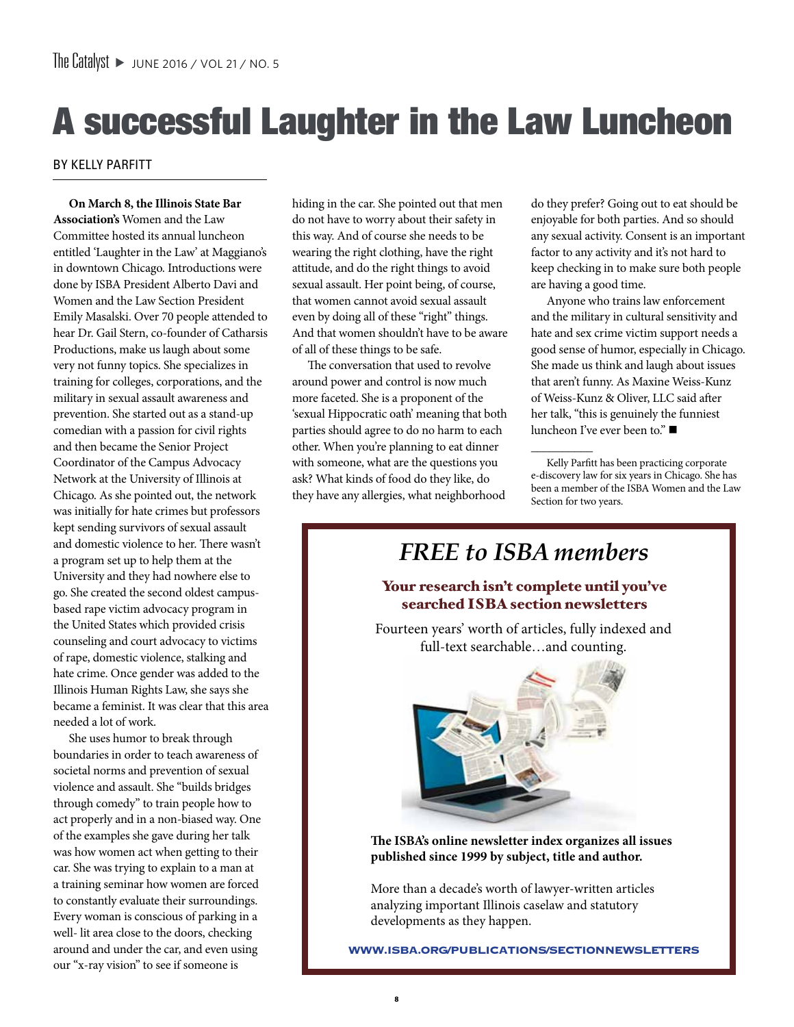# A successful Laughter in the Law Luncheon

## By Kelly Parfitt

**On March 8, the Illinois State Bar Association's** Women and the Law Committee hosted its annual luncheon entitled 'Laughter in the Law' at Maggiano's in downtown Chicago. Introductions were done by ISBA President Alberto Davi and Women and the Law Section President Emily Masalski. Over 70 people attended to hear Dr. Gail Stern, co-founder of Catharsis Productions, make us laugh about some very not funny topics. She specializes in training for colleges, corporations, and the military in sexual assault awareness and prevention. She started out as a stand-up comedian with a passion for civil rights and then became the Senior Project Coordinator of the Campus Advocacy Network at the University of Illinois at Chicago. As she pointed out, the network was initially for hate crimes but professors kept sending survivors of sexual assault and domestic violence to her. There wasn't a program set up to help them at the University and they had nowhere else to go. She created the second oldest campusbased rape victim advocacy program in the United States which provided crisis counseling and court advocacy to victims of rape, domestic violence, stalking and hate crime. Once gender was added to the Illinois Human Rights Law, she says she became a feminist. It was clear that this area needed a lot of work.

She uses humor to break through boundaries in order to teach awareness of societal norms and prevention of sexual violence and assault. She "builds bridges through comedy" to train people how to act properly and in a non-biased way. One of the examples she gave during her talk was how women act when getting to their car. She was trying to explain to a man at a training seminar how women are forced to constantly evaluate their surroundings. Every woman is conscious of parking in a well- lit area close to the doors, checking around and under the car, and even using our "x-ray vision" to see if someone is

hiding in the car. She pointed out that men do not have to worry about their safety in this way. And of course she needs to be wearing the right clothing, have the right attitude, and do the right things to avoid sexual assault. Her point being, of course, that women cannot avoid sexual assault even by doing all of these "right" things. And that women shouldn't have to be aware of all of these things to be safe.

The conversation that used to revolve around power and control is now much more faceted. She is a proponent of the 'sexual Hippocratic oath' meaning that both parties should agree to do no harm to each other. When you're planning to eat dinner with someone, what are the questions you ask? What kinds of food do they like, do they have any allergies, what neighborhood

**8** 

do they prefer? Going out to eat should be enjoyable for both parties. And so should any sexual activity. Consent is an important factor to any activity and it's not hard to keep checking in to make sure both people are having a good time.

Anyone who trains law enforcement and the military in cultural sensitivity and hate and sex crime victim support needs a good sense of humor, especially in Chicago. She made us think and laugh about issues that aren't funny. As Maxine Weiss-Kunz of Weiss-Kunz & Oliver, LLC said after her talk, "this is genuinely the funniest luncheon I've ever been to."

Kelly Parfitt has been practicing corporate e-discovery law for six years in Chicago. She has been a member of the ISBA Women and the Law Section for two years.

 $\overline{\phantom{a}}$ 



More than a decade's worth of lawyer-written articles analyzing important Illinois caselaw and statutory developments as they happen.

**www.isba.org/publications/sectionnewsletters**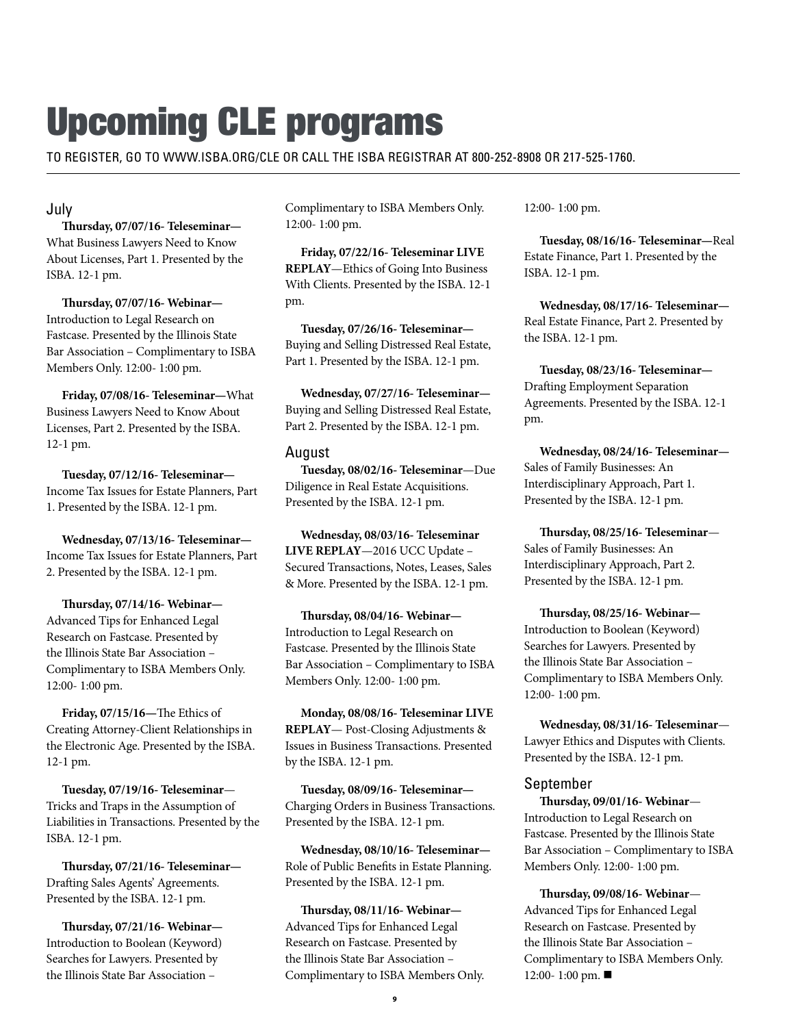# Upcoming CLE programs

To register, go to www.isba.org/cle or call the ISBA registrar at 800-252-8908 or 217-525-1760.

## July

**Thursday, 07/07/16- Teleseminar—** What Business Lawyers Need to Know About Licenses, Part 1. Presented by the ISBA. 12-1 pm.

**Thursday, 07/07/16- Webinar—** Introduction to Legal Research on Fastcase. Presented by the Illinois State Bar Association – Complimentary to ISBA Members Only. 12:00- 1:00 pm.

**Friday, 07/08/16- Teleseminar—**What Business Lawyers Need to Know About Licenses, Part 2. Presented by the ISBA. 12-1 pm.

**Tuesday, 07/12/16- Teleseminar—** Income Tax Issues for Estate Planners, Part 1. Presented by the ISBA. 12-1 pm.

**Wednesday, 07/13/16- Teleseminar—** Income Tax Issues for Estate Planners, Part 2. Presented by the ISBA. 12-1 pm.

**Thursday, 07/14/16- Webinar—** Advanced Tips for Enhanced Legal Research on Fastcase. Presented by the Illinois State Bar Association – Complimentary to ISBA Members Only. 12:00- 1:00 pm.

**Friday, 07/15/16—**The Ethics of Creating Attorney-Client Relationships in the Electronic Age. Presented by the ISBA. 12-1 pm.

**Tuesday, 07/19/16- Teleseminar**— Tricks and Traps in the Assumption of Liabilities in Transactions. Presented by the ISBA. 12-1 pm.

**Thursday, 07/21/16- Teleseminar—** Drafting Sales Agents' Agreements. Presented by the ISBA. 12-1 pm.

**Thursday, 07/21/16- Webinar—** Introduction to Boolean (Keyword) Searches for Lawyers. Presented by the Illinois State Bar Association –

Complimentary to ISBA Members Only. 12:00- 1:00 pm.

**Friday, 07/22/16- Teleseminar LIVE REPLAY**—Ethics of Going Into Business With Clients. Presented by the ISBA. 12-1 pm.

**Tuesday, 07/26/16- Teleseminar—** Buying and Selling Distressed Real Estate, Part 1. Presented by the ISBA. 12-1 pm.

**Wednesday, 07/27/16- Teleseminar—** Buying and Selling Distressed Real Estate, Part 2. Presented by the ISBA. 12-1 pm.

## August

**Tuesday, 08/02/16- Teleseminar**—Due Diligence in Real Estate Acquisitions. Presented by the ISBA. 12-1 pm.

**Wednesday, 08/03/16- Teleseminar LIVE REPLAY**—2016 UCC Update – Secured Transactions, Notes, Leases, Sales & More. Presented by the ISBA. 12-1 pm.

**Thursday, 08/04/16- Webinar—** Introduction to Legal Research on Fastcase. Presented by the Illinois State Bar Association – Complimentary to ISBA Members Only. 12:00- 1:00 pm.

**Monday, 08/08/16- Teleseminar LIVE REPLAY**— Post-Closing Adjustments & Issues in Business Transactions. Presented by the ISBA. 12-1 pm.

**Tuesday, 08/09/16- Teleseminar—** Charging Orders in Business Transactions. Presented by the ISBA. 12-1 pm.

**Wednesday, 08/10/16- Teleseminar—** Role of Public Benefits in Estate Planning. Presented by the ISBA. 12-1 pm.

**Thursday, 08/11/16- Webinar—** Advanced Tips for Enhanced Legal Research on Fastcase. Presented by the Illinois State Bar Association – Complimentary to ISBA Members Only. 12:00- 1:00 pm.

**Tuesday, 08/16/16- Teleseminar—**Real Estate Finance, Part 1. Presented by the ISBA. 12-1 pm.

**Wednesday, 08/17/16- Teleseminar—** Real Estate Finance, Part 2. Presented by the ISBA. 12-1 pm.

**Tuesday, 08/23/16- Teleseminar—** Drafting Employment Separation Agreements. Presented by the ISBA. 12-1 pm.

**Wednesday, 08/24/16- Teleseminar—** Sales of Family Businesses: An Interdisciplinary Approach, Part 1. Presented by the ISBA. 12-1 pm.

**Thursday, 08/25/16- Teleseminar**— Sales of Family Businesses: An Interdisciplinary Approach, Part 2. Presented by the ISBA. 12-1 pm.

**Thursday, 08/25/16- Webinar—** Introduction to Boolean (Keyword) Searches for Lawyers. Presented by the Illinois State Bar Association – Complimentary to ISBA Members Only. 12:00- 1:00 pm.

**Wednesday, 08/31/16- Teleseminar**— Lawyer Ethics and Disputes with Clients. Presented by the ISBA. 12-1 pm.

## September

**Thursday, 09/01/16- Webinar**— Introduction to Legal Research on Fastcase. Presented by the Illinois State Bar Association – Complimentary to ISBA Members Only. 12:00- 1:00 pm.

**Thursday, 09/08/16- Webinar**— Advanced Tips for Enhanced Legal Research on Fastcase. Presented by the Illinois State Bar Association – Complimentary to ISBA Members Only. 12:00- 1:00 pm. ■